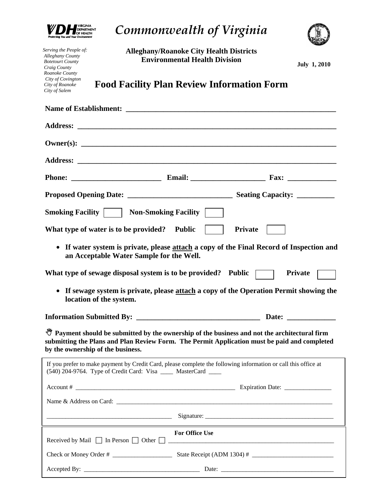

*Serving the People of: Alleghany County Botetourt County Craig County Roanoke County City of Covington City of Roanoke City of Salem* 

*Commonwealth of Virginia* 

**Alleghany/Roanoke City Health Districts Environmental Health Division** 

**July 1, 2010** 

**Food Facility Plan Review Information Form** 

| <b>Smoking Facility       Non-Smoking Facility  </b>                                                                                                                                                                                          |                       |                                                                                                                       |  |  |
|-----------------------------------------------------------------------------------------------------------------------------------------------------------------------------------------------------------------------------------------------|-----------------------|-----------------------------------------------------------------------------------------------------------------------|--|--|
| What type of water is to be provided? Public                                                                                                                                                                                                  |                       | <b>Private</b>                                                                                                        |  |  |
| If water system is private, please attach a copy of the Final Record of Inspection and<br>$\bullet$<br>an Acceptable Water Sample for the Well.                                                                                               |                       |                                                                                                                       |  |  |
| What type of sewage disposal system is to be provided? Public                                                                                                                                                                                 |                       | <b>Private</b>                                                                                                        |  |  |
| If sewage system is private, please attach a copy of the Operation Permit showing the<br>$\bullet$<br>location of the system.                                                                                                                 |                       |                                                                                                                       |  |  |
|                                                                                                                                                                                                                                               |                       |                                                                                                                       |  |  |
| <sup>9</sup> Payment should be submitted by the ownership of the business and not the architectural firm<br>submitting the Plans and Plan Review Form. The Permit Application must be paid and completed<br>by the ownership of the business. |                       |                                                                                                                       |  |  |
| If you prefer to make payment by Credit Card, please complete the following information or call this office at<br>(540) 204-9764. Type of Credit Card: Visa _____ MasterCard ____                                                             |                       |                                                                                                                       |  |  |
| Account #                                                                                                                                                                                                                                     |                       | $\overline{\phantom{a}}$ Expiration Date:                                                                             |  |  |
|                                                                                                                                                                                                                                               |                       |                                                                                                                       |  |  |
| <u> 1989 - Andrea Andrew Maria (h. 1989).</u>                                                                                                                                                                                                 |                       |                                                                                                                       |  |  |
| Received by Mail $\Box$ In Person $\Box$ Other $\Box$                                                                                                                                                                                         | <b>For Office Use</b> | <u> 1980 - Jan Barat, martin da basar basar basa da basa da basa da basa da basa da basa da basa da basa da basa </u> |  |  |
|                                                                                                                                                                                                                                               |                       |                                                                                                                       |  |  |
|                                                                                                                                                                                                                                               |                       |                                                                                                                       |  |  |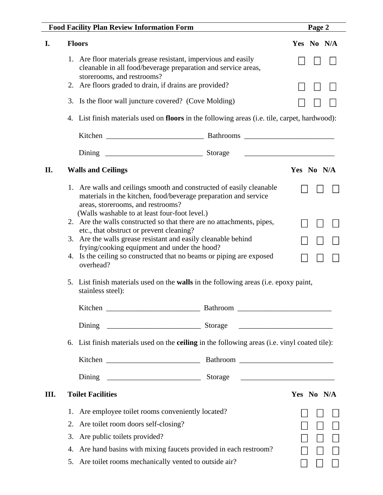|     | <b>Food Facility Plan Review Information Form</b>                                                                                                                                                                             | Page 2     |  |  |
|-----|-------------------------------------------------------------------------------------------------------------------------------------------------------------------------------------------------------------------------------|------------|--|--|
| I.  | <b>Floors</b>                                                                                                                                                                                                                 | Yes No N/A |  |  |
|     | 1. Are floor materials grease resistant, impervious and easily<br>cleanable in all food/beverage preparation and service areas,<br>storerooms, and restrooms?                                                                 |            |  |  |
|     | 2. Are floors graded to drain, if drains are provided?                                                                                                                                                                        |            |  |  |
|     | 3. Is the floor wall juncture covered? (Cove Molding)                                                                                                                                                                         |            |  |  |
|     | 4. List finish materials used on floors in the following areas (i.e. tile, carpet, hardwood):                                                                                                                                 |            |  |  |
|     |                                                                                                                                                                                                                               |            |  |  |
|     |                                                                                                                                                                                                                               |            |  |  |
| II. | <b>Walls and Ceilings</b>                                                                                                                                                                                                     | Yes No N/A |  |  |
|     | 1. Are walls and ceilings smooth and constructed of easily cleanable<br>materials in the kitchen, food/beverage preparation and service<br>areas, storerooms, and restrooms?<br>(Walls washable to at least four-foot level.) |            |  |  |
|     | 2. Are the walls constructed so that there are no attachments, pipes,                                                                                                                                                         |            |  |  |
|     | etc., that obstruct or prevent cleaning?<br>3. Are the walls grease resistant and easily cleanable behind                                                                                                                     |            |  |  |
|     | frying/cooking equipment and under the hood?<br>4. Is the ceiling so constructed that no beams or piping are exposed                                                                                                          |            |  |  |
|     | overhead?                                                                                                                                                                                                                     |            |  |  |
|     | 5. List finish materials used on the <b>walls</b> in the following areas (i.e. epoxy paint,<br>stainless steel):                                                                                                              |            |  |  |
|     |                                                                                                                                                                                                                               |            |  |  |
|     | Dining                                                                                                                                                                                                                        |            |  |  |
|     | 6. List finish materials used on the <b>ceiling</b> in the following areas (i.e. vinyl coated tile):                                                                                                                          |            |  |  |
|     |                                                                                                                                                                                                                               |            |  |  |
|     | Dining                                                                                                                                                                                                                        |            |  |  |
| Ш.  | <b>Toilet Facilities</b>                                                                                                                                                                                                      | Yes No N/A |  |  |
|     | Are employee toilet rooms conveniently located?<br>1.                                                                                                                                                                         |            |  |  |
|     | Are toilet room doors self-closing?<br>2.                                                                                                                                                                                     |            |  |  |
|     | 3.<br>Are public toilets provided?                                                                                                                                                                                            |            |  |  |
|     | Are hand basins with mixing faucets provided in each restroom?<br>4.                                                                                                                                                          |            |  |  |
|     | Are toilet rooms mechanically vented to outside air?<br>5.                                                                                                                                                                    |            |  |  |
|     |                                                                                                                                                                                                                               |            |  |  |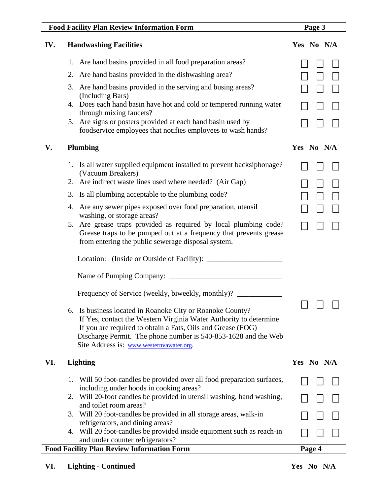| <b>Food Facility Plan Review Information Form</b>                                                                                                                                                                                                                                                           | Page 3     |
|-------------------------------------------------------------------------------------------------------------------------------------------------------------------------------------------------------------------------------------------------------------------------------------------------------------|------------|
| <b>Handwashing Facilities</b><br>IV.                                                                                                                                                                                                                                                                        | Yes No N/A |
| 1. Are hand basins provided in all food preparation areas?                                                                                                                                                                                                                                                  |            |
| 2. Are hand basins provided in the dishwashing area?                                                                                                                                                                                                                                                        |            |
| 3. Are hand basins provided in the serving and busing areas?<br>(Including Bars)                                                                                                                                                                                                                            |            |
| 4. Does each hand basin have hot and cold or tempered running water<br>through mixing faucets?                                                                                                                                                                                                              |            |
| 5. Are signs or posters provided at each hand basin used by<br>foodservice employees that notifies employees to wash hands?                                                                                                                                                                                 |            |
| V.<br><b>Plumbing</b>                                                                                                                                                                                                                                                                                       | Yes No N/A |
| 1. Is all water supplied equipment installed to prevent backsiphonage?<br>(Vacuum Breakers)                                                                                                                                                                                                                 |            |
| 2. Are indirect waste lines used where needed? (Air Gap)                                                                                                                                                                                                                                                    |            |
| 3. Is all plumbing acceptable to the plumbing code?                                                                                                                                                                                                                                                         |            |
| 4. Are any sewer pipes exposed over food preparation, utensil<br>washing, or storage areas?                                                                                                                                                                                                                 |            |
| 5. Are grease traps provided as required by local plumbing code?<br>Grease traps to be pumped out at a frequency that prevents grease<br>from entering the public sewerage disposal system.                                                                                                                 |            |
|                                                                                                                                                                                                                                                                                                             |            |
|                                                                                                                                                                                                                                                                                                             |            |
| Frequency of Service (weekly, biweekly, monthly)?                                                                                                                                                                                                                                                           |            |
| 6. Is business located in Roanoke City or Roanoke County?<br>If Yes, contact the Western Virginia Water Authority to determine<br>If you are required to obtain a Fats, Oils and Grease (FOG)<br>Discharge Permit. The phone number is 540-853-1628 and the Web<br>Site Address is: www.westernvawater.org. | $\Box$     |
| VI.<br><b>Lighting</b>                                                                                                                                                                                                                                                                                      | Yes No N/A |
| 1. Will 50 foot-candles be provided over all food preparation surfaces,<br>including under hoods in cooking areas?                                                                                                                                                                                          |            |
| 2. Will 20-foot candles be provided in utensil washing, hand washing,<br>and toilet room areas?                                                                                                                                                                                                             |            |
| Will 20 foot-candles be provided in all storage areas, walk-in<br>3.<br>refrigerators, and dining areas?                                                                                                                                                                                                    |            |
| 4. Will 20 foot-candles be provided inside equipment such as reach-in<br>and under counter refrigerators?                                                                                                                                                                                                   |            |
| <b>Food Facility Plan Review Information Form</b>                                                                                                                                                                                                                                                           | Page 4     |

VI. Lighting - Continued **Yes** No N/A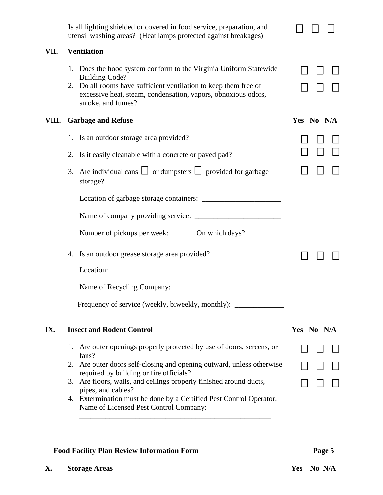|       | Is all lighting shielded or covered in food service, preparation, and<br>utensil washing areas? (Heat lamps protected against breakages)                                                                                                             |            |
|-------|------------------------------------------------------------------------------------------------------------------------------------------------------------------------------------------------------------------------------------------------------|------------|
| VII.  | <b>Ventilation</b>                                                                                                                                                                                                                                   |            |
|       | 1. Does the hood system conform to the Virginia Uniform Statewide<br><b>Building Code?</b><br>2. Do all rooms have sufficient ventilation to keep them free of<br>excessive heat, steam, condensation, vapors, obnoxious odors,<br>smoke, and fumes? |            |
| VIII. | <b>Garbage and Refuse</b>                                                                                                                                                                                                                            | Yes No N/A |
|       | 1. Is an outdoor storage area provided?                                                                                                                                                                                                              |            |
|       | 2. Is it easily cleanable with a concrete or paved pad?                                                                                                                                                                                              |            |
|       | Are individual cans $\Box$ or dumpsters $\Box$ provided for garbage<br>3.<br>storage?                                                                                                                                                                |            |
|       |                                                                                                                                                                                                                                                      |            |
|       |                                                                                                                                                                                                                                                      |            |
|       | Number of pickups per week: _______ On which days? _________                                                                                                                                                                                         |            |
|       | 4. Is an outdoor grease storage area provided?                                                                                                                                                                                                       |            |
|       | Location:                                                                                                                                                                                                                                            |            |
|       |                                                                                                                                                                                                                                                      |            |
|       | Frequency of service (weekly, biweekly, monthly): _______________________________                                                                                                                                                                    |            |
| IX.   | <b>Insect and Rodent Control</b>                                                                                                                                                                                                                     | Yes No N/A |
|       | 1. Are outer openings properly protected by use of doors, screens, or<br>fans?                                                                                                                                                                       |            |
|       | 2. Are outer doors self-closing and opening outward, unless otherwise<br>required by building or fire officials?                                                                                                                                     |            |
|       | 3. Are floors, walls, and ceilings properly finished around ducts,<br>pipes, and cables?                                                                                                                                                             |            |
|       | Extermination must be done by a Certified Pest Control Operator.<br>4.<br>Name of Licensed Pest Control Company:                                                                                                                                     |            |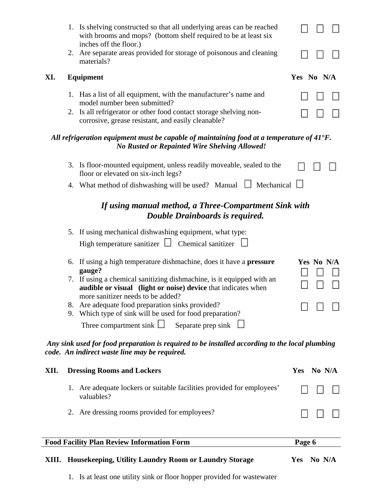|      | 1. Is shelving constructed so that all underlying areas can be reached<br>with brooms and mops? (bottom shelf required to be at least six<br>inches off the floor.)         |                      |
|------|-----------------------------------------------------------------------------------------------------------------------------------------------------------------------------|----------------------|
|      | 2. Are separate areas provided for storage of poisonous and cleaning<br>materials?                                                                                          |                      |
| XI.  | <b>Equipment</b>                                                                                                                                                            | Yes No N/A           |
|      | 1. Has a list of all equipment, with the manufacturer's name and<br>model number been submitted?                                                                            |                      |
|      | 2. Is all refrigerator or other food contact storage shelving non-<br>corrosive, grease resistant, and easily cleanable?                                                    |                      |
|      | All refrigeration equipment must be capable of maintaining food at a temperature of $41^{\circ}$ F.<br><b>No Rusted or Repainted Wire Shelving Allowed!</b>                 |                      |
|      | 3. Is floor-mounted equipment, unless readily moveable, sealed to the<br>floor or elevated on six-inch legs?                                                                |                      |
|      | 4. What method of dishwashing will be used? Manual $\Box$ Mechanical $\Box$                                                                                                 |                      |
|      | If using manual method, a Three-Compartment Sink with<br>Double Drainboards is required.                                                                                    |                      |
|      | 5. If using mechanical dishwashing equipment, what type:                                                                                                                    |                      |
|      | High temperature sanitizer $\Box$ Chemical sanitizer $\Box$                                                                                                                 |                      |
|      | If using a high temperature dishmachine, does it have a <b>pressure</b><br>6.<br>gauge?                                                                                     | Yes No N/A           |
|      | 7. If using a chemical sanitizing dishmachine, is it equipped with an<br>audible or visual (light or noise) device that indicates when<br>more sanitizer needs to be added? |                      |
|      | Are adequate food preparation sinks provided?<br>8.<br>Which type of sink will be used for food preparation?<br>9.                                                          |                      |
|      | Three compartment sink $\Box$ Separate prep sink                                                                                                                            |                      |
|      | Any sink used for food preparation is required to be installed according to the local plumbing<br>code. An indirect waste line may be required.                             |                      |
| XII. | <b>Dressing Rooms and Lockers</b>                                                                                                                                           | No N/A<br><b>Yes</b> |
|      | Are adequate lockers or suitable facilities provided for employees'<br>valuables?                                                                                           |                      |
|      | 2. Are dressing rooms provided for employees?                                                                                                                               |                      |
|      | <b>Food Facility Plan Review Information Form</b>                                                                                                                           | Page 6               |

|  | XIII. Housekeeping, Utility Laundry Room or Laundry Storage |  |  |  |  | Yes No N/A |
|--|-------------------------------------------------------------|--|--|--|--|------------|
|--|-------------------------------------------------------------|--|--|--|--|------------|

1. Is at least one utility sink or floor hopper provided for wastewater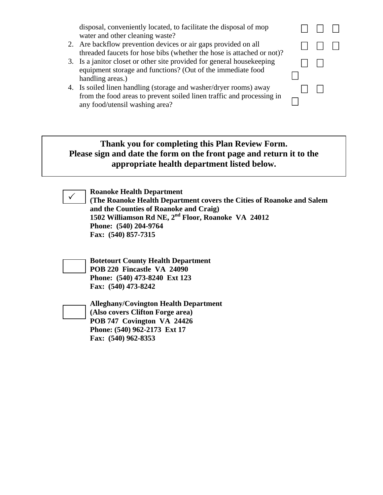disposal, conveniently located, to facilitate the disposal of mop  $\Box$   $\Box$   $\Box$ 

- 2. Are backflow prevention devices or air gaps provided on all Are backflow prevention devices or air gaps provided on all  $\Box$   $\Box$ <br>threaded faucets for hose bibs (whether the hose is attached or not)?
- 3. Is a janitor closet or other site provided for general housekeeping equipment storage and functions? (Out of the immediate food handling areas.)
- 4. Is soiled linen handling (storage and washer/dryer rooms) away from the food areas to prevent soiled linen traffic and processing in any food/utensil washing area?

## **Thank you for completing this Plan Review Form. Please sign and date the form on the front page and return it to the appropriate health department listed below.**



**Roanoke Health Department** 

**(The Roanoke Health Department covers the Cities of Roanoke and Salem and the Counties of Roanoke and Craig) 1502 Williamson Rd NE, 2nd Floor, Roanoke VA 24012 Phone: (540) 204-9764 Fax: (540) 857-7315** 

 $\Box$ 

 $\Box$ 

**Botetourt County Health Department POB 220 Fincastle VA 24090 Phone: (540) 473-8240 Ext 123 Fax: (540) 473-8242** 

**Alleghany/Covington Health Department (Also covers Clifton Forge area) POB 747 Covington VA 24426 Phone: (540) 962-2173 Ext 17 Fax: (540) 962-8353**